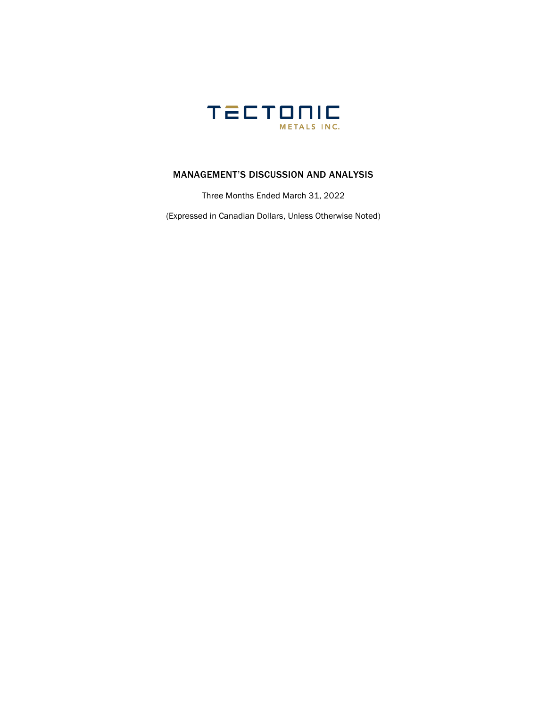

### MANAGEMENT'S DISCUSSION AND ANALYSIS

Three Months Ended March 31, 2022

(Expressed in Canadian Dollars, Unless Otherwise Noted)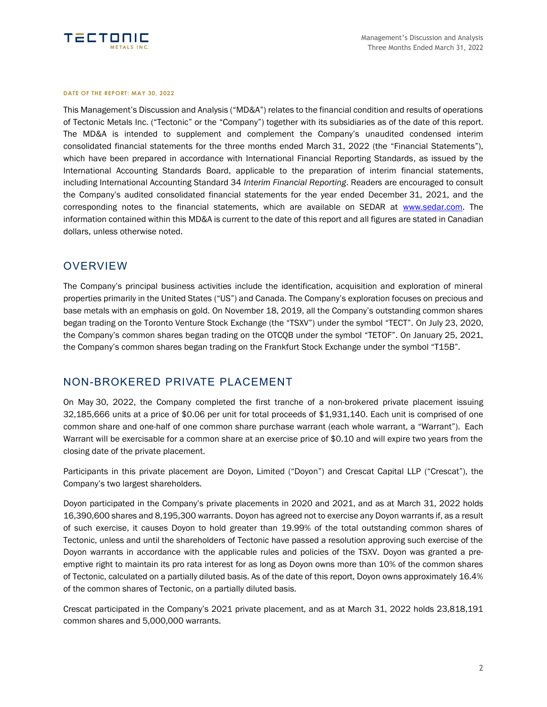

#### **DATE OF THE REPORT: MAY 30, 2022**

This Management's Discussion and Analysis ("MD&A") relates to the financial condition and results of operations of Tectonic Metals Inc. ("Tectonic" or the "Company") together with its subsidiaries as of the date of this report. The MD&A is intended to supplement and complement the Company's unaudited condensed interim consolidated financial statements for the three months ended March 31, 2022 (the "Financial Statements"), which have been prepared in accordance with International Financial Reporting Standards, as issued by the International Accounting Standards Board, applicable to the preparation of interim financial statements, including International Accounting Standard 34 *Interim Financial Reporting*. Readers are encouraged to consult the Company's audited consolidated financial statements for the year ended December 31, 2021, and the corresponding notes to the financial statements, which are available on SEDAR at [www.sedar.com.](http://www.sedar.com/) The information contained within this MD&A is current to the date of this report and all figures are stated in Canadian dollars, unless otherwise noted.

### **OVERVIEW**

The Company's principal business activities include the identification, acquisition and exploration of mineral properties primarily in the United States ("US") and Canada. The Company's exploration focuses on precious and base metals with an emphasis on gold. On November 18, 2019, all the Company's outstanding common shares began trading on the Toronto Venture Stock Exchange (the "TSXV") under the symbol "TECT". On July 23, 2020, the Company's common shares began trading on the OTCQB under the symbol "TETOF". On January 25, 2021, the Company's common shares began trading on the Frankfurt Stock Exchange under the symbol "T15B".

### NON-BROKERED PRIVATE PLACEMENT

On May 30, 2022, the Company completed the first tranche of a non-brokered private placement issuing 32,185,666 units at a price of \$0.06 per unit for total proceeds of \$1,931,140. Each unit is comprised of one common share and one-half of one common share purchase warrant (each whole warrant, a "Warrant"). Each Warrant will be exercisable for a common share at an exercise price of \$0.10 and will expire two years from the closing date of the private placement.

Participants in this private placement are Doyon, Limited ("Doyon") and Crescat Capital LLP ("Crescat"), the Company's two largest shareholders.

Doyon participated in the Company's private placements in 2020 and 2021, and as at March 31, 2022 holds 16,390,600 shares and 8,195,300 warrants. Doyon has agreed not to exercise any Doyon warrants if, as a result of such exercise, it causes Doyon to hold greater than 19.99% of the total outstanding common shares of Tectonic, unless and until the shareholders of Tectonic have passed a resolution approving such exercise of the Doyon warrants in accordance with the applicable rules and policies of the TSXV. Doyon was granted a preemptive right to maintain its pro rata interest for as long as Doyon owns more than 10% of the common shares of Tectonic, calculated on a partially diluted basis. As of the date of this report, Doyon owns approximately 16.4% of the common shares of Tectonic, on a partially diluted basis.

Crescat participated in the Company's 2021 private placement, and as at March 31, 2022 holds 23,818,191 common shares and 5,000,000 warrants.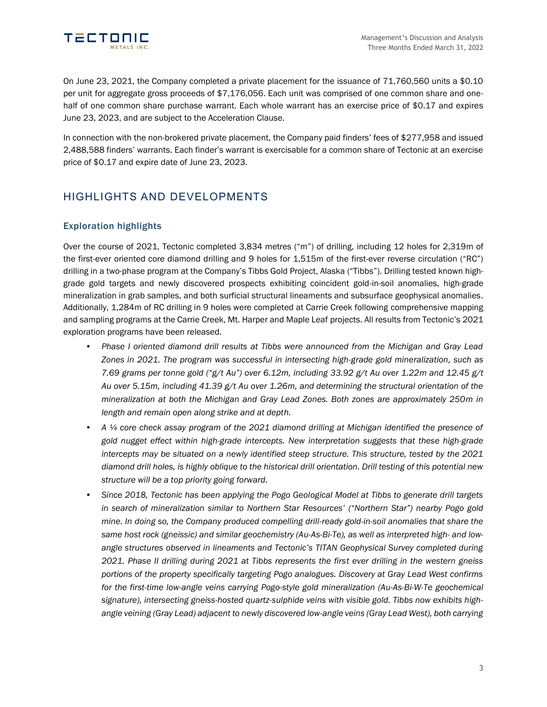

On June 23, 2021, the Company completed a private placement for the issuance of 71,760,560 units a \$0.10 per unit for aggregate gross proceeds of \$7,176,056. Each unit was comprised of one common share and onehalf of one common share purchase warrant. Each whole warrant has an exercise price of \$0.17 and expires June 23, 2023, and are subject to the Acceleration Clause.

In connection with the non-brokered private placement, the Company paid finders' fees of \$277,958 and issued 2,488,588 finders' warrants. Each finder's warrant is exercisable for a common share of Tectonic at an exercise price of \$0.17 and expire date of June 23, 2023.

## HIGHLIGHTS AND DEVELOPMENTS

### Exploration highlights

Over the course of 2021, Tectonic completed 3,834 metres ("m") of drilling, including 12 holes for 2,319m of the first-ever oriented core diamond drilling and 9 holes for 1,515m of the first-ever reverse circulation ("RC") drilling in a two-phase program at the Company's Tibbs Gold Project, Alaska ("Tibbs"). Drilling tested known highgrade gold targets and newly discovered prospects exhibiting coincident gold-in-soil anomalies, high-grade mineralization in grab samples, and both surficial structural lineaments and subsurface geophysical anomalies. Additionally, 1,284m of RC drilling in 9 holes were completed at Carrie Creek following comprehensive mapping and sampling programs at the Carrie Creek, Mt. Harper and Maple Leaf projects. All results from Tectonic's 2021 exploration programs have been released.

- *Phase I oriented diamond drill results at Tibbs were announced from the Michigan and Gray Lead Zones in 2021. The program was successful in intersecting high-grade gold mineralization, such as 7.69 grams per tonne gold ("g/t Au") over 6.12m, including 33.92 g/t Au over 1.22m and 12.45 g/t Au over 5.15m, including 41.39 g/t Au over 1.26m, and determining the structural orientation of the mineralization at both the Michigan and Gray Lead Zones. Both zones are approximately 250m in length and remain open along strike and at depth.*
- *A ¼ core check assay program of the 2021 diamond drilling at Michigan identified the presence of gold nugget effect within high-grade intercepts. New interpretation suggests that these high-grade intercepts may be situated on a newly identified steep structure. This structure, tested by the 2021 diamond drill holes, is highly oblique to the historical drill orientation. Drill testing of this potential new structure will be a top priority going forward.*
- *Since 2018, Tectonic has been applying the Pogo Geological Model at Tibbs to generate drill targets in search of mineralization similar to Northern Star Resources' ("Northern Star") nearby Pogo gold mine. In doing so, the Company produced compelling drill-ready gold-in-soil anomalies that share the same host rock (gneissic) and similar geochemistry (Au-As-Bi-Te), as well as interpreted high- and lowangle structures observed in lineaments and Tectonic's TITAN Geophysical Survey completed during 2021. Phase II drilling during 2021 at Tibbs represents the first ever drilling in the western gneiss portions of the property specifically targeting Pogo analogues. Discovery at Gray Lead West confirms for the first-time low-angle veins carrying Pogo-style gold mineralization (Au-As-Bi-W-Te geochemical signature), intersecting gneiss-hosted quartz-sulphide veins with visible gold. Tibbs now exhibits highangle veining (Gray Lead) adjacent to newly discovered low-angle veins (Gray Lead West), both carrying*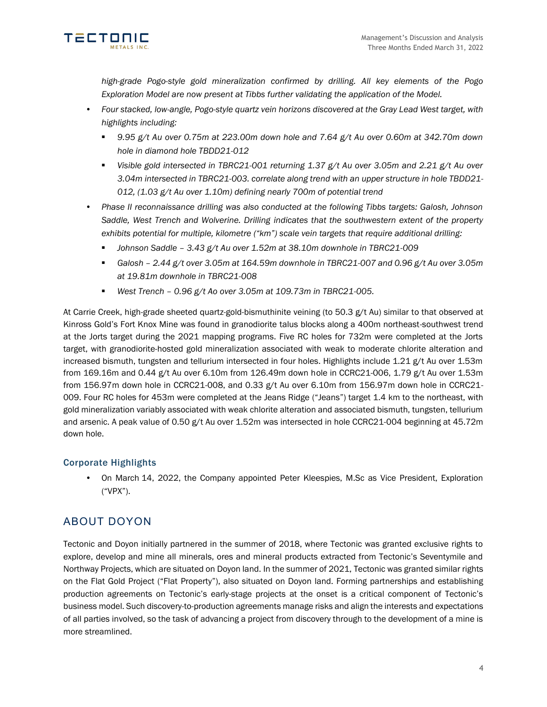

*high-grade Pogo-style gold mineralization confirmed by drilling. All key elements of the Pogo Exploration Model are now present at Tibbs further validating the application of the Model.*

- *Four stacked, low-angle, Pogo-style quartz vein horizons discovered at the Gray Lead West target, with highlights including:*
	- *9.95 g/t Au over 0.75m at 223.00m down hole and 7.64 g/t Au over 0.60m at 342.70m down hole in diamond hole TBDD21-012*
	- *Visible gold intersected in TBRC21-001 returning 1.37 g/t Au over 3.05m and 2.21 g/t Au over 3.04m intersected in TBRC21-003. correlate along trend with an upper structure in hole TBDD21- 012, (1.03 g/t Au over 1.10m) defining nearly 700m of potential trend*
- *Phase II reconnaissance drilling was also conducted at the following Tibbs targets: Galosh, Johnson Saddle, West Trench and Wolverine. Drilling indicates that the southwestern extent of the property exhibits potential for multiple, kilometre ("km") scale vein targets that require additional drilling:*
	- *Johnson Saddle – 3.43 g/t Au over 1.52m at 38.10m downhole in TBRC21-009*
	- *Galosh – 2.44 g/t over 3.05m at 164.59m downhole in TBRC21-007 and 0.96 g/t Au over 3.05m at 19.81m downhole in TBRC21-008*
	- *West Trench 0.96 g/t Ao over 3.05m at 109.73m in TBRC21-005.*

At Carrie Creek, high-grade sheeted quartz-gold-bismuthinite veining (to 50.3 g/t Au) similar to that observed at Kinross Gold's Fort Knox Mine was found in granodiorite talus blocks along a 400m northeast-southwest trend at the Jorts target during the 2021 mapping programs. Five RC holes for 732m were completed at the Jorts target, with granodiorite-hosted gold mineralization associated with weak to moderate chlorite alteration and increased bismuth, tungsten and tellurium intersected in four holes. Highlights include 1.21 g/t Au over 1.53m from 169.16m and 0.44 g/t Au over 6.10m from 126.49m down hole in CCRC21-006, 1.79 g/t Au over 1.53m from 156.97m down hole in CCRC21-008, and 0.33 g/t Au over 6.10m from 156.97m down hole in CCRC21- 009. Four RC holes for 453m were completed at the Jeans Ridge ("Jeans") target 1.4 km to the northeast, with gold mineralization variably associated with weak chlorite alteration and associated bismuth, tungsten, tellurium and arsenic. A peak value of 0.50 g/t Au over 1.52m was intersected in hole CCRC21-004 beginning at 45.72m down hole.

### Corporate Highlights

• On March 14, 2022, the Company appointed Peter Kleespies, M.Sc as Vice President, Exploration ("VPX").

## ABOUT DOYON

Tectonic and Doyon initially partnered in the summer of 2018, where Tectonic was granted exclusive rights to explore, develop and mine all minerals, ores and mineral products extracted from Tectonic's Seventymile and Northway Projects, which are situated on Doyon land. In the summer of 2021, Tectonic was granted similar rights on the Flat Gold Project ("Flat Property"), also situated on Doyon land. Forming partnerships and establishing production agreements on Tectonic's early-stage projects at the onset is a critical component of Tectonic's business model. Such discovery-to-production agreements manage risks and align the interests and expectations of all parties involved, so the task of advancing a project from discovery through to the development of a mine is more streamlined.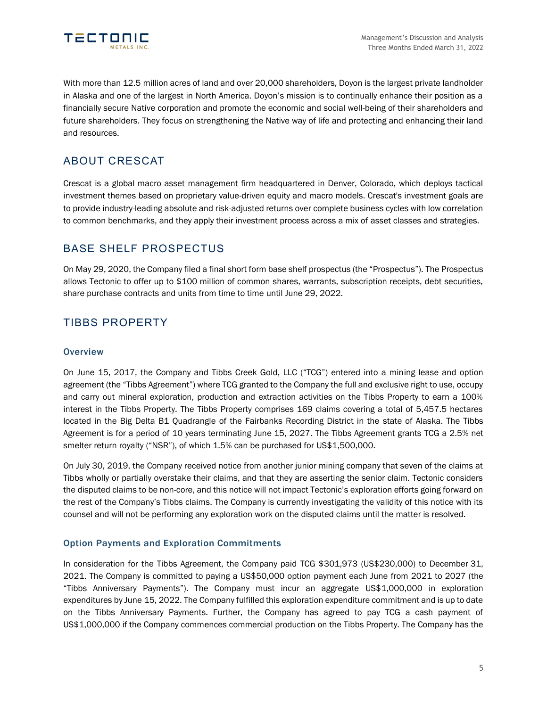

With more than 12.5 million acres of land and over 20,000 shareholders, Doyon is the largest private landholder in Alaska and one of the largest in North America. Doyon's mission is to continually enhance their position as a financially secure Native corporation and promote the economic and social well-being of their shareholders and future shareholders. They focus on strengthening the Native way of life and protecting and enhancing their land and resources.

## ABOUT CRESCAT

Crescat is a global macro asset management firm headquartered in Denver, Colorado, which deploys tactical investment themes based on proprietary value-driven equity and macro models. Crescat's investment goals are to provide industry-leading absolute and risk-adjusted returns over complete business cycles with low correlation to common benchmarks, and they apply their investment process across a mix of asset classes and strategies.

## BASE SHELF PROSPECTUS

On May 29, 2020, the Company filed a final short form base shelf prospectus (the "Prospectus"). The Prospectus allows Tectonic to offer up to \$100 million of common shares, warrants, subscription receipts, debt securities, share purchase contracts and units from time to time until June 29, 2022.

## TIBBS PROPERTY

### **Overview**

On June 15, 2017, the Company and Tibbs Creek Gold, LLC ("TCG") entered into a mining lease and option agreement (the "Tibbs Agreement") where TCG granted to the Company the full and exclusive right to use, occupy and carry out mineral exploration, production and extraction activities on the Tibbs Property to earn a 100% interest in the Tibbs Property. The Tibbs Property comprises 169 claims covering a total of 5,457.5 hectares located in the Big Delta B1 Quadrangle of the Fairbanks Recording District in the state of Alaska. The Tibbs Agreement is for a period of 10 years terminating June 15, 2027. The Tibbs Agreement grants TCG a 2.5% net smelter return royalty ("NSR"), of which 1.5% can be purchased for US\$1,500,000.

On July 30, 2019, the Company received notice from another junior mining company that seven of the claims at Tibbs wholly or partially overstake their claims, and that they are asserting the senior claim. Tectonic considers the disputed claims to be non-core, and this notice will not impact Tectonic's exploration efforts going forward on the rest of the Company's Tibbs claims. The Company is currently investigating the validity of this notice with its counsel and will not be performing any exploration work on the disputed claims until the matter is resolved.

### Option Payments and Exploration Commitments

In consideration for the Tibbs Agreement, the Company paid TCG \$301,973 (US\$230,000) to December 31, 2021. The Company is committed to paying a US\$50,000 option payment each June from 2021 to 2027 (the "Tibbs Anniversary Payments"). The Company must incur an aggregate US\$1,000,000 in exploration expenditures by June 15, 2022. The Company fulfilled this exploration expenditure commitment and is up to date on the Tibbs Anniversary Payments. Further, the Company has agreed to pay TCG a cash payment of US\$1,000,000 if the Company commences commercial production on the Tibbs Property. The Company has the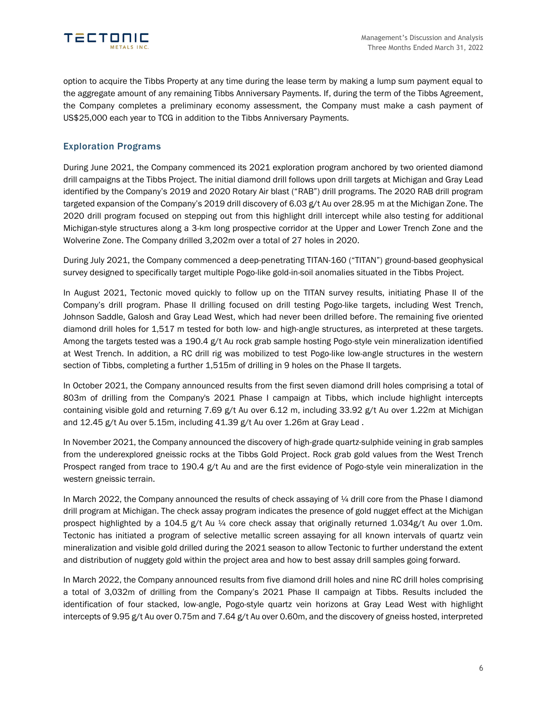

option to acquire the Tibbs Property at any time during the lease term by making a lump sum payment equal to the aggregate amount of any remaining Tibbs Anniversary Payments. If, during the term of the Tibbs Agreement, the Company completes a preliminary economy assessment, the Company must make a cash payment of US\$25,000 each year to TCG in addition to the Tibbs Anniversary Payments.

### Exploration Programs

During June 2021, the Company commenced its 2021 exploration program anchored by two oriented diamond drill campaigns at the Tibbs Project. The initial diamond drill follows upon drill targets at Michigan and Gray Lead identified by the Company's 2019 and 2020 Rotary Air blast ("RAB") drill programs. The 2020 RAB drill program targeted expansion of the Company's 2019 drill discovery of 6.03 g/t Au over 28.95 m at the Michigan Zone. The 2020 drill program focused on stepping out from this highlight drill intercept while also testing for additional Michigan-style structures along a 3-km long prospective corridor at the Upper and Lower Trench Zone and the Wolverine Zone. The Company drilled 3,202m over a total of 27 holes in 2020.

During July 2021, the Company commenced a deep-penetrating TITAN-160 ("TITAN") ground-based geophysical survey designed to specifically target multiple Pogo-like gold-in-soil anomalies situated in the Tibbs Project.

In August 2021, Tectonic moved quickly to follow up on the TITAN survey results, initiating Phase II of the Company's drill program. Phase II drilling focused on drill testing Pogo-like targets, including West Trench, Johnson Saddle, Galosh and Gray Lead West, which had never been drilled before. The remaining five oriented diamond drill holes for 1,517 m tested for both low- and high-angle structures, as interpreted at these targets. Among the targets tested was a 190.4 g/t Au rock grab sample hosting Pogo-style vein mineralization identified at West Trench. In addition, a RC drill rig was mobilized to test Pogo-like low-angle structures in the western section of Tibbs, completing a further 1,515m of drilling in 9 holes on the Phase II targets.

In October 2021, the Company announced results from the first seven diamond drill holes comprising a total of 803m of drilling from the Company's 2021 Phase I campaign at Tibbs, which include highlight intercepts containing visible gold and returning 7.69 g/t Au over 6.12 m, including 33.92 g/t Au over 1.22m at Michigan and 12.45 g/t Au over 5.15m, including 41.39 g/t Au over 1.26m at Gray Lead .

In November 2021, the Company announced the discovery of high-grade quartz-sulphide veining in grab samples from the underexplored gneissic rocks at the Tibbs Gold Project. Rock grab gold values from the West Trench Prospect ranged from trace to 190.4 g/t Au and are the first evidence of Pogo-style vein mineralization in the western gneissic terrain.

In March 2022, the Company announced the results of check assaying of  $\frac{1}{4}$  drill core from the Phase I diamond drill program at Michigan. The check assay program indicates the presence of gold nugget effect at the Michigan prospect highlighted by a 104.5 g/t Au ¼ core check assay that originally returned 1.034g/t Au over 1.0m. Tectonic has initiated a program of selective metallic screen assaying for all known intervals of quartz vein mineralization and visible gold drilled during the 2021 season to allow Tectonic to further understand the extent and distribution of nuggety gold within the project area and how to best assay drill samples going forward.

In March 2022, the Company announced results from five diamond drill holes and nine RC drill holes comprising a total of 3,032m of drilling from the Company's 2021 Phase II campaign at Tibbs. Results included the identification of four stacked, low-angle, Pogo-style quartz vein horizons at Gray Lead West with highlight intercepts of 9.95 g/t Au over 0.75m and 7.64 g/t Au over 0.60m, and the discovery of gneiss hosted, interpreted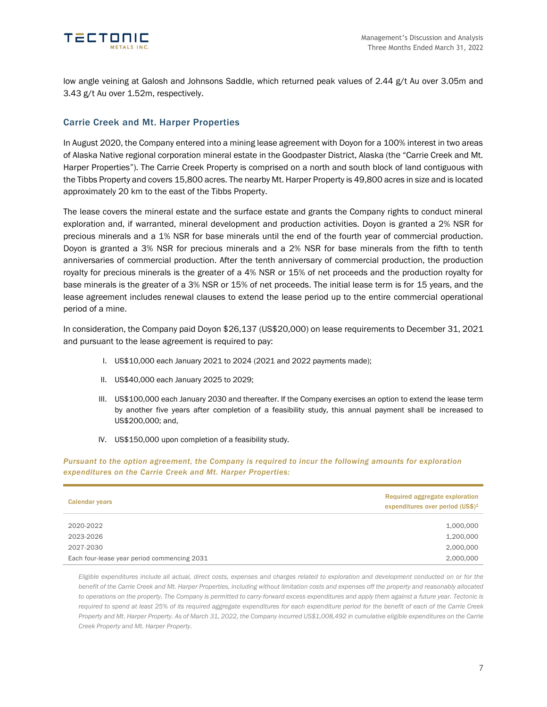

low angle veining at Galosh and Johnsons Saddle, which returned peak values of 2.44 g/t Au over 3.05m and 3.43 g/t Au over 1.52m, respectively.

### Carrie Creek and Mt. Harper Properties

In August 2020, the Company entered into a mining lease agreement with Doyon for a 100% interest in two areas of Alaska Native regional corporation mineral estate in the Goodpaster District, Alaska (the "Carrie Creek and Mt. Harper Properties"). The Carrie Creek Property is comprised on a north and south block of land contiguous with the Tibbs Property and covers 15,800 acres. The nearby Mt. Harper Property is 49,800 acres in size and is located approximately 20 km to the east of the Tibbs Property.

The lease covers the mineral estate and the surface estate and grants the Company rights to conduct mineral exploration and, if warranted, mineral development and production activities. Doyon is granted a 2% NSR for precious minerals and a 1% NSR for base minerals until the end of the fourth year of commercial production. Doyon is granted a 3% NSR for precious minerals and a 2% NSR for base minerals from the fifth to tenth anniversaries of commercial production. After the tenth anniversary of commercial production, the production royalty for precious minerals is the greater of a 4% NSR or 15% of net proceeds and the production royalty for base minerals is the greater of a 3% NSR or 15% of net proceeds. The initial lease term is for 15 years, and the lease agreement includes renewal clauses to extend the lease period up to the entire commercial operational period of a mine.

In consideration, the Company paid Doyon \$26,137 (US\$20,000) on lease requirements to December 31, 2021 and pursuant to the lease agreement is required to pay:

- I. US\$10,000 each January 2021 to 2024 (2021 and 2022 payments made);
- II. US\$40,000 each January 2025 to 2029;
- III. US\$100,000 each January 2030 and thereafter. If the Company exercises an option to extend the lease term by another five years after completion of a feasibility study, this annual payment shall be increased to US\$200,000; and,
- IV. US\$150,000 upon completion of a feasibility study.

*Pursuant to the option agreement, the Company is required to incur the following amounts for exploration expenditures on the Carrie Creek and Mt. Harper Properties:*

| <b>Calendar years</b>                       | Required aggregate exploration<br>expenditures over period (US\$) <sup>1</sup> |
|---------------------------------------------|--------------------------------------------------------------------------------|
| 2020-2022                                   | 1,000,000                                                                      |
| 2023-2026                                   | 1,200,000                                                                      |
| 2027-2030                                   | 2,000,000                                                                      |
| Each four-lease year period commencing 2031 | 2,000,000                                                                      |

*Eligible expenditures include all actual, direct costs, expenses and charges related to exploration and development conducted on or for the benefit of the Carrie Creek and Mt. Harper Properties, including without limitation costs and expenses off the property and reasonably allocated to operations on the property. The Company is permitted to carry-forward excess expenditures and apply them against a future year. Tectonic is required to spend at least 25% of its required aggregate expenditures for each expenditure period for the benefit of each of the Carrie Creek Property and Mt. Harper Property. As of March 31, 2022, the Company incurred US\$1,008,492 in cumulative eligible expenditures on the Carrie Creek Property and Mt. Harper Property.*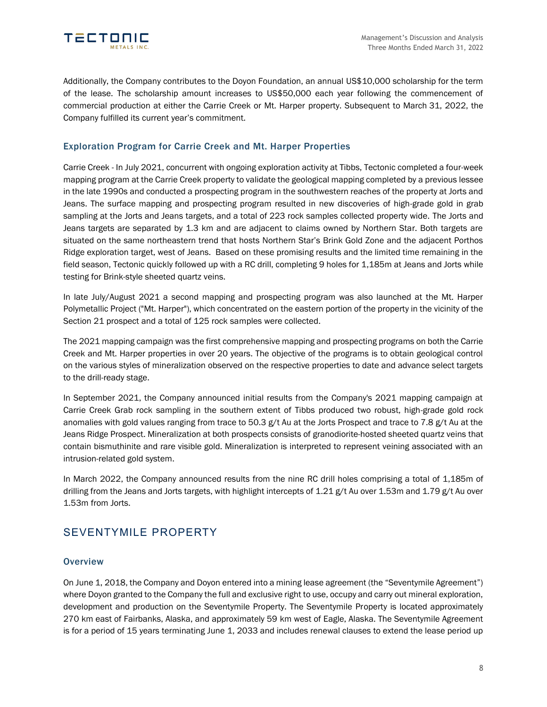

Additionally, the Company contributes to the Doyon Foundation, an annual US\$10,000 scholarship for the term of the lease. The scholarship amount increases to US\$50,000 each year following the commencement of commercial production at either the Carrie Creek or Mt. Harper property. Subsequent to March 31, 2022, the Company fulfilled its current year's commitment.

### Exploration Program for Carrie Creek and Mt. Harper Properties

Carrie Creek - In July 2021, concurrent with ongoing exploration activity at Tibbs, Tectonic completed a four-week mapping program at the Carrie Creek property to validate the geological mapping completed by a previous lessee in the late 1990s and conducted a prospecting program in the southwestern reaches of the property at Jorts and Jeans. The surface mapping and prospecting program resulted in new discoveries of high-grade gold in grab sampling at the Jorts and Jeans targets, and a total of 223 rock samples collected property wide. The Jorts and Jeans targets are separated by 1.3 km and are adjacent to claims owned by Northern Star. Both targets are situated on the same northeastern trend that hosts Northern Star's Brink Gold Zone and the adjacent Porthos Ridge exploration target, west of Jeans. Based on these promising results and the limited time remaining in the field season, Tectonic quickly followed up with a RC drill, completing 9 holes for 1,185m at Jeans and Jorts while testing for Brink-style sheeted quartz veins.

In late July/August 2021 a second mapping and prospecting program was also launched at the Mt. Harper Polymetallic Project ("Mt. Harper"), which concentrated on the eastern portion of the property in the vicinity of the Section 21 prospect and a total of 125 rock samples were collected.

The 2021 mapping campaign was the first comprehensive mapping and prospecting programs on both the Carrie Creek and Mt. Harper properties in over 20 years. The objective of the programs is to obtain geological control on the various styles of mineralization observed on the respective properties to date and advance select targets to the drill-ready stage.

In September 2021, the Company announced initial results from the Company's 2021 mapping campaign at Carrie Creek Grab rock sampling in the southern extent of Tibbs produced two robust, high-grade gold rock anomalies with gold values ranging from trace to 50.3 g/t Au at the Jorts Prospect and trace to 7.8 g/t Au at the Jeans Ridge Prospect. Mineralization at both prospects consists of granodiorite-hosted sheeted quartz veins that contain bismuthinite and rare visible gold. Mineralization is interpreted to represent veining associated with an intrusion-related gold system.

In March 2022, the Company announced results from the nine RC drill holes comprising a total of 1,185m of drilling from the Jeans and Jorts targets, with highlight intercepts of 1.21 g/t Au over 1.53m and 1.79 g/t Au over 1.53m from Jorts.

## SEVENTYMILE PROPERTY

### **Overview**

On June 1, 2018, the Company and Doyon entered into a mining lease agreement (the "Seventymile Agreement") where Doyon granted to the Company the full and exclusive right to use, occupy and carry out mineral exploration, development and production on the Seventymile Property. The Seventymile Property is located approximately 270 km east of Fairbanks, Alaska, and approximately 59 km west of Eagle, Alaska. The Seventymile Agreement is for a period of 15 years terminating June 1, 2033 and includes renewal clauses to extend the lease period up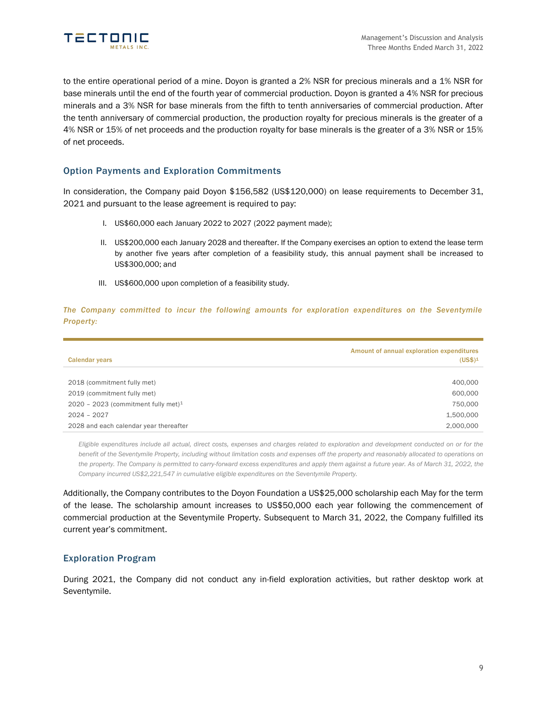

to the entire operational period of a mine. Doyon is granted a 2% NSR for precious minerals and a 1% NSR for base minerals until the end of the fourth year of commercial production. Doyon is granted a 4% NSR for precious minerals and a 3% NSR for base minerals from the fifth to tenth anniversaries of commercial production. After the tenth anniversary of commercial production, the production royalty for precious minerals is the greater of a 4% NSR or 15% of net proceeds and the production royalty for base minerals is the greater of a 3% NSR or 15% of net proceeds.

### Option Payments and Exploration Commitments

In consideration, the Company paid Doyon \$156,582 (US\$120,000) on lease requirements to December 31, 2021 and pursuant to the lease agreement is required to pay:

- I. US\$60,000 each January 2022 to 2027 (2022 payment made);
- II. US\$200,000 each January 2028 and thereafter. If the Company exercises an option to extend the lease term by another five years after completion of a feasibility study, this annual payment shall be increased to US\$300,000; and
- III. US\$600,000 upon completion of a feasibility study.

*The Company committed to incur the following amounts for exploration expenditures on the Seventymile Property:*

| <b>Calendar years</b>                  | Amount of annual exploration expenditures<br>$(US$)^1$ |
|----------------------------------------|--------------------------------------------------------|
|                                        |                                                        |
| 2018 (commitment fully met)            | 400,000                                                |
| 2019 (commitment fully met)            | 600,000                                                |
| 2020 - 2023 (commitment fully met) $1$ | 750,000                                                |
| $2024 - 2027$                          | 1,500,000                                              |
| 2028 and each calendar year thereafter | 2,000,000                                              |

*Eligible expenditures include all actual, direct costs, expenses and charges related to exploration and development conducted on or for the benefit of the Seventymile Property, including without limitation costs and expenses off the property and reasonably allocated to operations on the property. The Company is permitted to carry-forward excess expenditures and apply them against a future year. As of March 31, 2022, the Company incurred US\$2,221,547 in cumulative eligible expenditures on the Seventymile Property.*

Additionally, the Company contributes to the Doyon Foundation a US\$25,000 scholarship each May for the term of the lease. The scholarship amount increases to US\$50,000 each year following the commencement of commercial production at the Seventymile Property. Subsequent to March 31, 2022, the Company fulfilled its current year's commitment.

### Exploration Program

During 2021, the Company did not conduct any in-field exploration activities, but rather desktop work at Seventymile.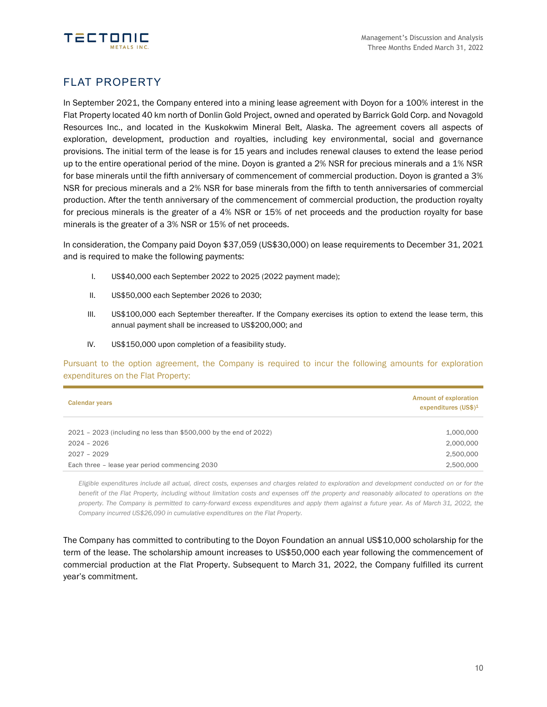



## FLAT PROPERTY

In September 2021, the Company entered into a mining lease agreement with Doyon for a 100% interest in the Flat Property located 40 km north of Donlin Gold Project, owned and operated by Barrick Gold Corp. and Novagold Resources Inc., and located in the Kuskokwim Mineral Belt, Alaska. The agreement covers all aspects of exploration, development, production and royalties, including key environmental, social and governance provisions. The initial term of the lease is for 15 years and includes renewal clauses to extend the lease period up to the entire operational period of the mine. Doyon is granted a 2% NSR for precious minerals and a 1% NSR for base minerals until the fifth anniversary of commencement of commercial production. Doyon is granted a 3% NSR for precious minerals and a 2% NSR for base minerals from the fifth to tenth anniversaries of commercial production. After the tenth anniversary of the commencement of commercial production, the production royalty for precious minerals is the greater of a 4% NSR or 15% of net proceeds and the production royalty for base minerals is the greater of a 3% NSR or 15% of net proceeds.

In consideration, the Company paid Doyon \$37,059 (US\$30,000) on lease requirements to December 31, 2021 and is required to make the following payments:

- I. US\$40,000 each September 2022 to 2025 (2022 payment made);
- II. US\$50,000 each September 2026 to 2030;
- III. US\$100,000 each September thereafter. If the Company exercises its option to extend the lease term, this annual payment shall be increased to US\$200,000; and
- IV. US\$150,000 upon completion of a feasibility study.

Pursuant to the option agreement, the Company is required to incur the following amounts for exploration expenditures on the Flat Property:

| <b>Calendar years</b>                                             | <b>Amount of exploration</b><br>expenditures $(US$)^1$ |
|-------------------------------------------------------------------|--------------------------------------------------------|
|                                                                   |                                                        |
| 2021 - 2023 (including no less than \$500,000 by the end of 2022) | 1,000,000                                              |
| $2024 - 2026$                                                     | 2,000,000                                              |
| $2027 - 2029$                                                     | 2,500,000                                              |
| Each three - lease year period commencing 2030                    | 2,500,000                                              |

*Eligible expenditures include all actual, direct costs, expenses and charges related to exploration and development conducted on or for the benefit of the Flat Property, including without limitation costs and expenses off the property and reasonably allocated to operations on the property. The Company is permitted to carry-forward excess expenditures and apply them against a future year. As of March 31, 2022, the Company incurred US\$26,090 in cumulative expenditures on the Flat Property.*

The Company has committed to contributing to the Doyon Foundation an annual US\$10,000 scholarship for the term of the lease. The scholarship amount increases to US\$50,000 each year following the commencement of commercial production at the Flat Property. Subsequent to March 31, 2022, the Company fulfilled its current year's commitment.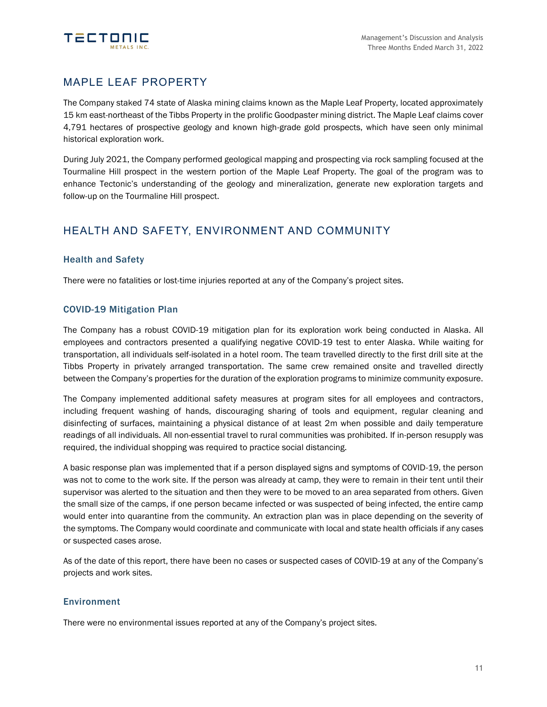

## MAPLE LEAF PROPERTY

The Company staked 74 state of Alaska mining claims known as the Maple Leaf Property, located approximately 15 km east-northeast of the Tibbs Property in the prolific Goodpaster mining district. The Maple Leaf claims cover 4,791 hectares of prospective geology and known high-grade gold prospects, which have seen only minimal historical exploration work.

During July 2021, the Company performed geological mapping and prospecting via rock sampling focused at the Tourmaline Hill prospect in the western portion of the Maple Leaf Property. The goal of the program was to enhance Tectonic's understanding of the geology and mineralization, generate new exploration targets and follow-up on the Tourmaline Hill prospect.

## HEALTH AND SAFETY, ENVIRONMENT AND COMMUNITY

### Health and Safety

There were no fatalities or lost-time injuries reported at any of the Company's project sites.

### COVID-19 Mitigation Plan

The Company has a robust COVID-19 mitigation plan for its exploration work being conducted in Alaska. All employees and contractors presented a qualifying negative COVID-19 test to enter Alaska. While waiting for transportation, all individuals self-isolated in a hotel room. The team travelled directly to the first drill site at the Tibbs Property in privately arranged transportation. The same crew remained onsite and travelled directly between the Company's properties for the duration of the exploration programs to minimize community exposure.

The Company implemented additional safety measures at program sites for all employees and contractors, including frequent washing of hands, discouraging sharing of tools and equipment, regular cleaning and disinfecting of surfaces, maintaining a physical distance of at least 2m when possible and daily temperature readings of all individuals. All non-essential travel to rural communities was prohibited. If in-person resupply was required, the individual shopping was required to practice social distancing.

A basic response plan was implemented that if a person displayed signs and symptoms of COVID-19, the person was not to come to the work site. If the person was already at camp, they were to remain in their tent until their supervisor was alerted to the situation and then they were to be moved to an area separated from others. Given the small size of the camps, if one person became infected or was suspected of being infected, the entire camp would enter into quarantine from the community. An extraction plan was in place depending on the severity of the symptoms. The Company would coordinate and communicate with local and state health officials if any cases or suspected cases arose.

As of the date of this report, there have been no cases or suspected cases of COVID-19 at any of the Company's projects and work sites.

### Environment

There were no environmental issues reported at any of the Company's project sites.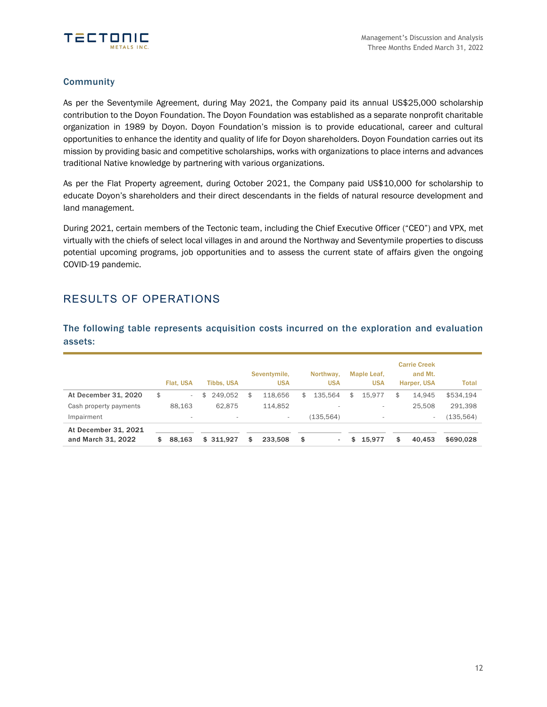

### **Community**

As per the Seventymile Agreement, during May 2021, the Company paid its annual US\$25,000 scholarship contribution to the Doyon Foundation. The Doyon Foundation was established as a separate nonprofit charitable organization in 1989 by Doyon. Doyon Foundation's mission is to provide educational, career and cultural opportunities to enhance the identity and quality of life for Doyon shareholders. Doyon Foundation carries out its mission by providing basic and competitive scholarships, works with organizations to place interns and advances traditional Native knowledge by partnering with various organizations.

As per the Flat Property agreement, during October 2021, the Company paid US\$10,000 for scholarship to educate Doyon's shareholders and their direct descendants in the fields of natural resource development and land management.

During 2021, certain members of the Tectonic team, including the Chief Executive Officer ("CEO") and VPX, met virtually with the chiefs of select local villages in and around the Northway and Seventymile properties to discuss potential upcoming programs, job opportunities and to assess the current state of affairs given the ongoing COVID-19 pandemic.

## RESULTS OF OPERATIONS

The following table represents acquisition costs incurred on the exploration and evaluation assets:

|                        |    | Flat. USA | <b>Tibbs, USA</b> | Seventymile,<br><b>USA</b> |              | Northway.<br><b>USA</b>  | Maple Leaf,<br><b>USA</b> | <b>Carrie Creek</b><br>and Mt.<br>Harper, USA | <b>Total</b> |
|------------------------|----|-----------|-------------------|----------------------------|--------------|--------------------------|---------------------------|-----------------------------------------------|--------------|
| At December 31, 2020   | \$ | $\sim$    | \$<br>249.052     | \$<br>118.656              | $\mathbb{S}$ | 135.564                  | \$<br>15.977              | \$<br>14.945                                  | \$534.194    |
| Cash property payments |    | 88.163    | 62.875            | 114,852                    |              | $\overline{\phantom{a}}$ |                           | 25.508                                        | 291,398      |
| Impairment             |    | $\sim$    | $\sim$            | $\sim$                     |              | (135.564)                |                           |                                               | 135,564      |
| At December 31, 2021   |    |           |                   |                            |              |                          |                           |                                               |              |
| and March 31, 2022     | S  | 88,163    | \$311.927         | \$<br>233,508              | \$           | ٠                        | \$<br>15.977              | \$<br>40.453                                  | \$690,028    |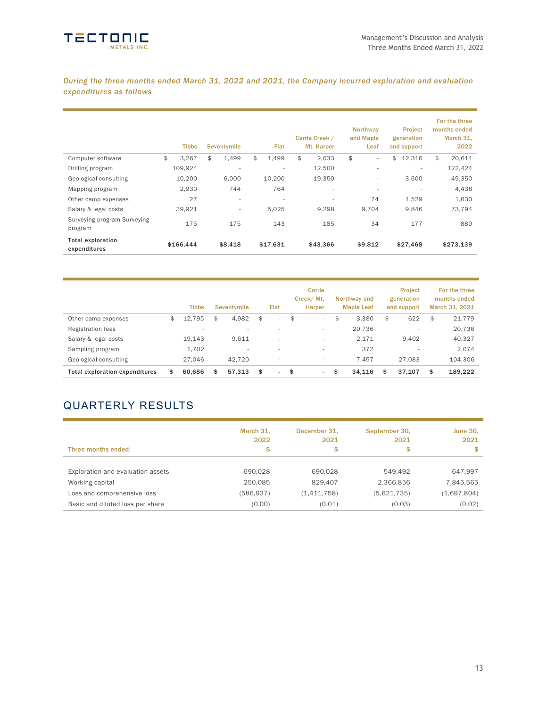

*During the three months ended March 31, 2022 and 2021, the Company incurred exploration and evaluation expenditures as follows*

|                                          | <b>Tibbs</b> | Seventymile              | Flat                     | Carrie Creek /<br>Mt. Harper | Northway<br>and Maple<br>Leaf  | Project<br>generation<br>and support | For the three<br>months ended<br>March 31,<br>2022 |
|------------------------------------------|--------------|--------------------------|--------------------------|------------------------------|--------------------------------|--------------------------------------|----------------------------------------------------|
| Computer software                        | \$<br>3.267  | \$<br>1.499              | \$<br>1.499              | \$<br>2.033                  | \$<br>$\overline{\phantom{0}}$ | \$<br>12,316                         | \$<br>20,614                                       |
| Drilling program                         | 109,924      | $\overline{\phantom{a}}$ | ٠                        | 12,500                       | ÷                              |                                      | 122,424                                            |
| Geological consulting                    | 10,200       | 6.000                    | 10,200                   | 19.350                       | $\overline{\phantom{0}}$       | 3.600                                | 49,350                                             |
| Mapping program                          | 2.930        | 744                      | 764                      | $\overline{\phantom{a}}$     | $\overline{\phantom{a}}$       | $\overline{\phantom{a}}$             | 4,438                                              |
| Other camp expenses                      | 27           | $\overline{\phantom{a}}$ | $\overline{\phantom{a}}$ | $\overline{\phantom{a}}$     | 74                             | 1,529                                | 1,630                                              |
| Salary & legal costs                     | 39,921       | $\sim$                   | 5.025                    | 9.298                        | 9.704                          | 9,846                                | 73.794                                             |
| Surveying program Surveying<br>program   | 175          | 175                      | 143                      | 185                          | 34                             | 177                                  | 889                                                |
| <b>Total exploration</b><br>expenditures | \$166,444    | \$8,418                  | \$17,631                 | \$43,366                     | \$9,812                        | \$27,468                             | \$273,139                                          |

|                                | <b>Tibbs</b> | Seventymile              | Flat                           | Carrie<br>Creek/Mt.<br><b>Harper</b> | Northway and<br><b>Maple Leaf</b> |     | <b>Project</b><br>generation<br>and support | For the three<br>months ended<br>March 31, 2021 |
|--------------------------------|--------------|--------------------------|--------------------------------|--------------------------------------|-----------------------------------|-----|---------------------------------------------|-------------------------------------------------|
| Other camp expenses            | \$<br>12.795 | \$<br>4,982              | \$<br>$\sim$                   | \$<br>$\sim$                         | \$<br>3.380                       | \$  | 622                                         | \$<br>21,779                                    |
| <b>Registration fees</b>       |              |                          |                                | $\overline{\phantom{a}}$             | 20,736                            |     | $\overline{\phantom{a}}$                    | 20,736                                          |
| Salary & legal costs           | 19,143       | 9,611                    | $\overline{\phantom{a}}$       | $\overline{\phantom{a}}$             | 2,171                             |     | 9,402                                       | 40,327                                          |
| Sampling program               | 1,702        | $\overline{\phantom{a}}$ |                                | $\overline{\phantom{a}}$             | 372                               |     | $\overline{\phantom{a}}$                    | 2.074                                           |
| Geological consulting          | 27.046       | 42.720                   |                                | $\overline{\phantom{a}}$             | 7.457                             |     | 27.083                                      | 104,306                                         |
| Total exploration expenditures | \$<br>60,686 | \$<br>57.313             | \$<br>$\overline{\phantom{a}}$ | \$<br>$\sim$                         | \$<br>34.116                      | \$. | 37.107                                      | \$<br>189,222                                   |

# QUARTERLY RESULTS

| Three months ended:               | March 31.<br>2022<br>\$ | December 31.<br>2021<br>\$ | September 30,<br>2021<br>\$ | <b>June 30,</b><br>2021<br>\$ |
|-----------------------------------|-------------------------|----------------------------|-----------------------------|-------------------------------|
| Exploration and evaluation assets | 690,028                 | 690.028                    | 549.492                     | 647,997                       |
| Working capital                   | 250,085                 | 829.407                    | 2,366,856                   | 7,845,565                     |
| Loss and comprehensive loss       | (586, 937)              | (1,411,758)                | (5,621,735)                 | (1,697,804)                   |
| Basic and diluted loss per share  | (0.00)                  | (0.01)                     | (0.03)                      | (0.02)                        |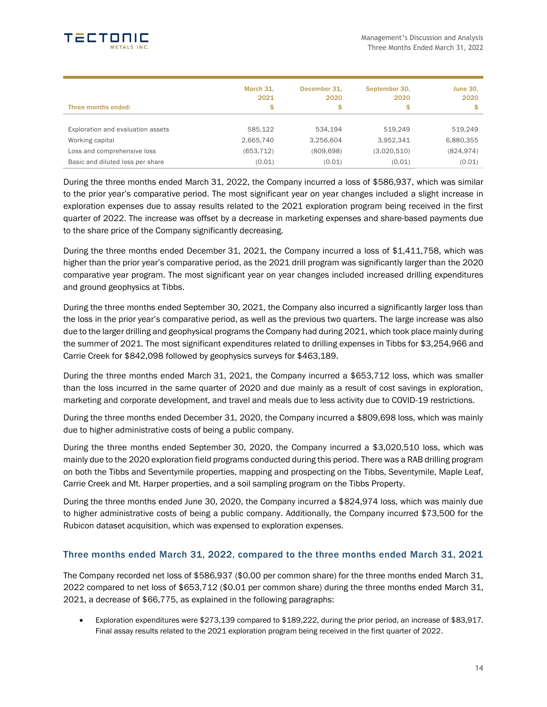

| Three months ended:               | March 31,<br>2021<br>\$ | December 31.<br>2020<br>\$ | September 30,<br>2020<br>\$ | <b>June 30,</b><br>2020<br>\$ |
|-----------------------------------|-------------------------|----------------------------|-----------------------------|-------------------------------|
| Exploration and evaluation assets | 585.122                 | 534.194                    | 519.249                     | 519,249                       |
| Working capital                   | 2,665,740               | 3,256,604                  | 3,952,341                   | 6,880,355                     |
| Loss and comprehensive loss       | (653,712)               | (809, 698)                 | (3,020,510)                 | (824, 974)                    |
| Basic and diluted loss per share  | (0.01)                  | (0.01)                     | (0.01)                      | (0.01)                        |

During the three months ended March 31, 2022, the Company incurred a loss of \$586,937, which was similar to the prior year's comparative period. The most significant year on year changes included a slight increase in exploration expenses due to assay results related to the 2021 exploration program being received in the first quarter of 2022. The increase was offset by a decrease in marketing expenses and share-based payments due to the share price of the Company significantly decreasing.

During the three months ended December 31, 2021, the Company incurred a loss of \$1,411,758, which was higher than the prior year's comparative period, as the 2021 drill program was significantly larger than the 2020 comparative year program. The most significant year on year changes included increased drilling expenditures and ground geophysics at Tibbs.

During the three months ended September 30, 2021, the Company also incurred a significantly larger loss than the loss in the prior year's comparative period, as well as the previous two quarters. The large increase was also due to the larger drilling and geophysical programs the Company had during 2021, which took place mainly during the summer of 2021. The most significant expenditures related to drilling expenses in Tibbs for \$3,254,966 and Carrie Creek for \$842,098 followed by geophysics surveys for \$463,189.

During the three months ended March 31, 2021, the Company incurred a \$653,712 loss, which was smaller than the loss incurred in the same quarter of 2020 and due mainly as a result of cost savings in exploration, marketing and corporate development, and travel and meals due to less activity due to COVID-19 restrictions.

During the three months ended December 31, 2020, the Company incurred a \$809,698 loss, which was mainly due to higher administrative costs of being a public company.

During the three months ended September 30, 2020, the Company incurred a \$3,020,510 loss, which was mainly due to the 2020 exploration field programs conducted during this period. There was a RAB drilling program on both the Tibbs and Seventymile properties, mapping and prospecting on the Tibbs, Seventymile, Maple Leaf, Carrie Creek and Mt. Harper properties, and a soil sampling program on the Tibbs Property.

During the three months ended June 30, 2020, the Company incurred a \$824,974 loss, which was mainly due to higher administrative costs of being a public company. Additionally, the Company incurred \$73,500 for the Rubicon dataset acquisition, which was expensed to exploration expenses.

### Three months ended March 31, 2022, compared to the three months ended March 31, 2021

The Company recorded net loss of \$586,937 (\$0.00 per common share) for the three months ended March 31, 2022 compared to net loss of \$653,712 (\$0.01 per common share) during the three months ended March 31, 2021, a decrease of \$66,775, as explained in the following paragraphs:

• Exploration expenditures were \$273,139 compared to \$189,222, during the prior period, an increase of \$83,917. Final assay results related to the 2021 exploration program being received in the first quarter of 2022.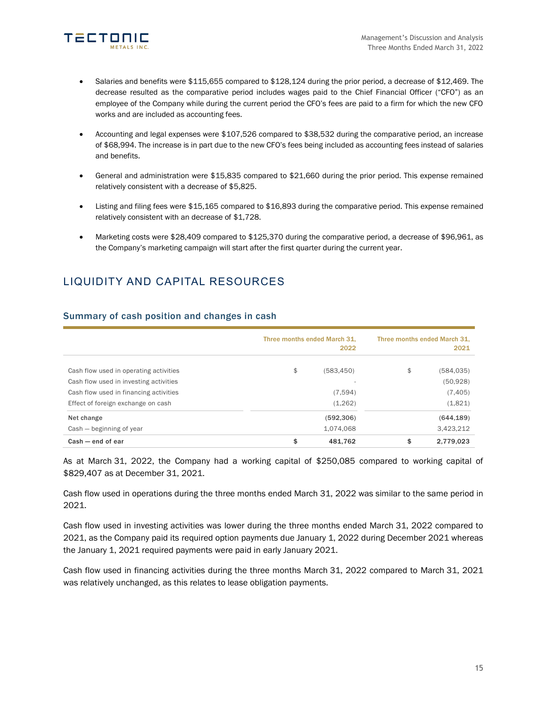

- Salaries and benefits were \$115,655 compared to \$128,124 during the prior period, a decrease of \$12,469. The decrease resulted as the comparative period includes wages paid to the Chief Financial Officer ("CFO") as an employee of the Company while during the current period the CFO's fees are paid to a firm for which the new CFO works and are included as accounting fees.
- Accounting and legal expenses were \$107,526 compared to \$38,532 during the comparative period, an increase of \$68,994. The increase is in part due to the new CFO's fees being included as accounting fees instead of salaries and benefits.
- General and administration were \$15,835 compared to \$21,660 during the prior period. This expense remained relatively consistent with a decrease of \$5,825.
- Listing and filing fees were \$15,165 compared to \$16,893 during the comparative period. This expense remained relatively consistent with an decrease of \$1,728.
- Marketing costs were \$28,409 compared to \$125,370 during the comparative period, a decrease of \$96,961, as the Company's marketing campaign will start after the first quarter during the current year.

# LIQUIDITY AND CAPITAL RESOURCES

| Summary of cash position and changes in cash |  |  |  |  |  |  |
|----------------------------------------------|--|--|--|--|--|--|
|----------------------------------------------|--|--|--|--|--|--|

|                                        | Three months ended March 31. | 2022       | Three months ended March 31.<br>2021 |            |  |
|----------------------------------------|------------------------------|------------|--------------------------------------|------------|--|
| Cash flow used in operating activities | \$                           | (583, 450) | \$                                   | (584,035)  |  |
| Cash flow used in investing activities |                              |            |                                      | (50, 928)  |  |
| Cash flow used in financing activities |                              | (7.594)    |                                      | (7, 405)   |  |
| Effect of foreign exchange on cash     |                              | (1,262)    |                                      | (1,821)    |  |
| Net change                             |                              | (592, 306) |                                      | (644, 189) |  |
| Cash – beginning of year               |                              | 1,074,068  |                                      | 3,423,212  |  |
| $Cash - end of ear$                    | \$                           | 481.762    | \$                                   | 2.779.023  |  |

As at March 31, 2022, the Company had a working capital of \$250,085 compared to working capital of \$829,407 as at December 31, 2021.

Cash flow used in operations during the three months ended March 31, 2022 was similar to the same period in 2021.

Cash flow used in investing activities was lower during the three months ended March 31, 2022 compared to 2021, as the Company paid its required option payments due January 1, 2022 during December 2021 whereas the January 1, 2021 required payments were paid in early January 2021.

Cash flow used in financing activities during the three months March 31, 2022 compared to March 31, 2021 was relatively unchanged, as this relates to lease obligation payments.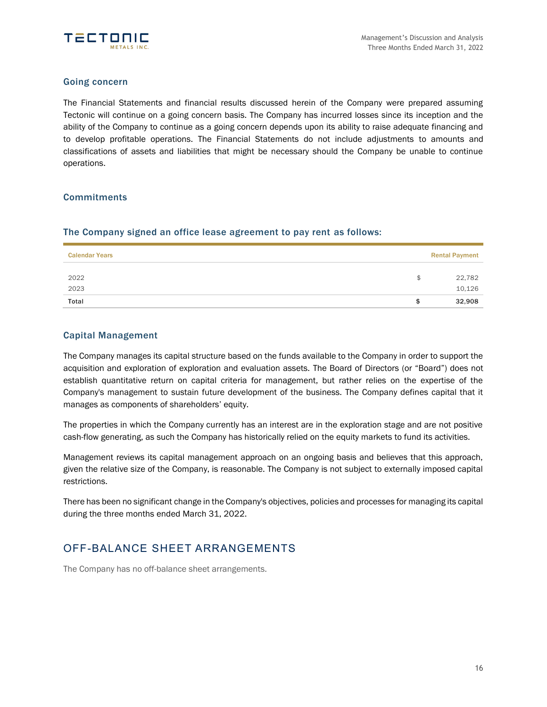

### Going concern

The Financial Statements and financial results discussed herein of the Company were prepared assuming Tectonic will continue on a going concern basis. The Company has incurred losses since its inception and the ability of the Company to continue as a going concern depends upon its ability to raise adequate financing and to develop profitable operations. The Financial Statements do not include adjustments to amounts and classifications of assets and liabilities that might be necessary should the Company be unable to continue operations.

### **Commitments**

### The Company signed an office lease agreement to pay rent as follows:

| <b>Calendar Years</b> |    | <b>Rental Payment</b> |
|-----------------------|----|-----------------------|
| 2022<br>2023          | \$ | 22,782<br>10,126      |
| Total                 | S  | 32,908                |

### Capital Management

The Company manages its capital structure based on the funds available to the Company in order to support the acquisition and exploration of exploration and evaluation assets. The Board of Directors (or "Board") does not establish quantitative return on capital criteria for management, but rather relies on the expertise of the Company's management to sustain future development of the business. The Company defines capital that it manages as components of shareholders' equity.

The properties in which the Company currently has an interest are in the exploration stage and are not positive cash-flow generating, as such the Company has historically relied on the equity markets to fund its activities.

Management reviews its capital management approach on an ongoing basis and believes that this approach, given the relative size of the Company, is reasonable. The Company is not subject to externally imposed capital restrictions.

There has been no significant change in the Company's objectives, policies and processes for managing its capital during the three months ended March 31, 2022.

## OFF-BALANCE SHEET ARRANGEMENTS

The Company has no off-balance sheet arrangements.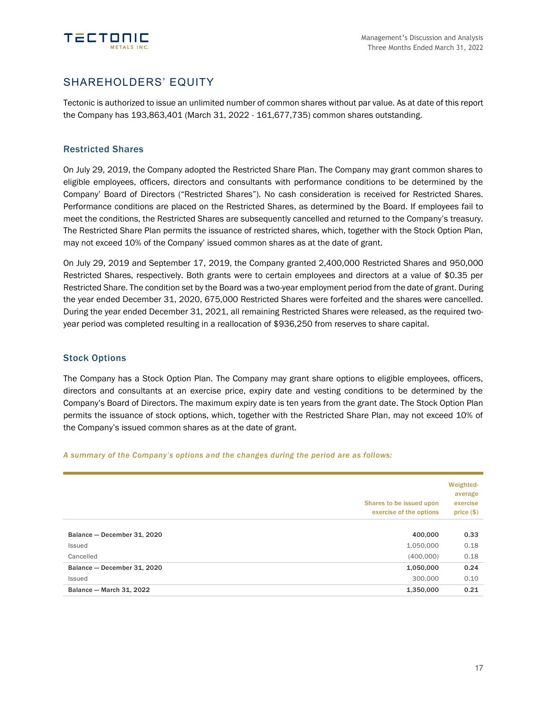

## SHAREHOLDERS' EQUITY

Tectonic is authorized to issue an unlimited number of common shares without par value. As at date of this report the Company has 193,863,401 (March 31, 2022 - 161,677,735) common shares outstanding.

### Restricted Shares

On July 29, 2019, the Company adopted the Restricted Share Plan. The Company may grant common shares to eligible employees, officers, directors and consultants with performance conditions to be determined by the Company' Board of Directors ("Restricted Shares"). No cash consideration is received for Restricted Shares. Performance conditions are placed on the Restricted Shares, as determined by the Board. If employees fail to meet the conditions, the Restricted Shares are subsequently cancelled and returned to the Company's treasury. The Restricted Share Plan permits the issuance of restricted shares, which, together with the Stock Option Plan, may not exceed 10% of the Company' issued common shares as at the date of grant.

On July 29, 2019 and September 17, 2019, the Company granted 2,400,000 Restricted Shares and 950,000 Restricted Shares, respectively. Both grants were to certain employees and directors at a value of \$0.35 per Restricted Share. The condition set by the Board was a two-year employment period from the date of grant. During the year ended December 31, 2020, 675,000 Restricted Shares were forfeited and the shares were cancelled. During the year ended December 31, 2021, all remaining Restricted Shares were released, as the required twoyear period was completed resulting in a reallocation of \$936,250 from reserves to share capital.

### Stock Options

The Company has a Stock Option Plan. The Company may grant share options to eligible employees, officers, directors and consultants at an exercise price, expiry date and vesting conditions to be determined by the Company's Board of Directors. The maximum expiry date is ten years from the grant date. The Stock Option Plan permits the issuance of stock options, which, together with the Restricted Share Plan, may not exceed 10% of the Company's issued common shares as at the date of grant.

#### *A summary of the Company's options and the changes during the period are as follows:*

|                             | Shares to be issued upon<br>exercise of the options | Weighted-<br>average<br>exercise<br>price(\$) |
|-----------------------------|-----------------------------------------------------|-----------------------------------------------|
| Balance - December 31, 2020 | 400.000                                             | 0.33                                          |
| Issued                      | 1,050,000                                           | 0.18                                          |
| Cancelled                   | (400,000)                                           | 0.18                                          |
| Balance - December 31, 2020 | 1,050,000                                           | 0.24                                          |
| Issued                      | 300,000                                             | 0.10                                          |
| Balance - March 31, 2022    | 1,350,000                                           | 0.21                                          |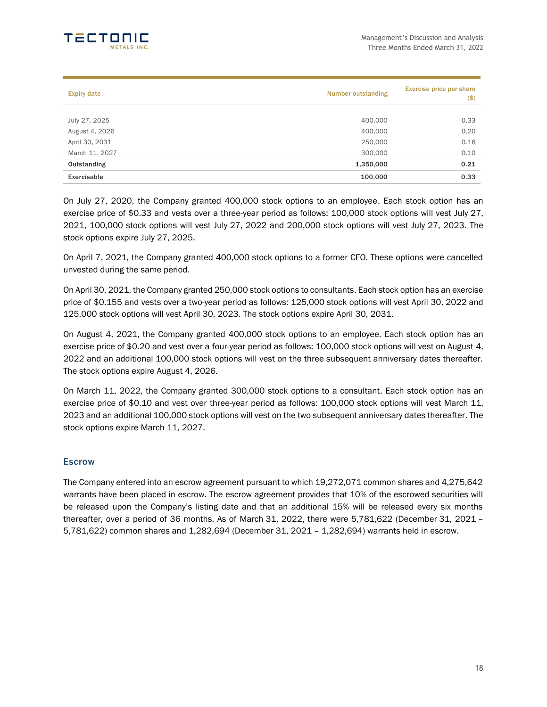

| <b>Expiry date</b> | <b>Number outstanding</b> | <b>Exercise price per share</b><br>$($ \$) |
|--------------------|---------------------------|--------------------------------------------|
| July 27, 2025      | 400,000                   | 0.33                                       |
| August 4, 2026     | 400,000                   | 0.20                                       |
| April 30, 2031     | 250,000                   | 0.16                                       |
| March 11, 2027     | 300,000                   | 0.10                                       |
| Outstanding        | 1,350,000                 | 0.21                                       |
| Exercisable        | 100,000                   | 0.33                                       |

On July 27, 2020, the Company granted 400,000 stock options to an employee. Each stock option has an exercise price of \$0.33 and vests over a three-year period as follows: 100,000 stock options will vest July 27, 2021, 100,000 stock options will vest July 27, 2022 and 200,000 stock options will vest July 27, 2023. The stock options expire July 27, 2025.

On April 7, 2021, the Company granted 400,000 stock options to a former CFO. These options were cancelled unvested during the same period.

On April 30, 2021, the Company granted 250,000 stock options to consultants. Each stock option has an exercise price of \$0.155 and vests over a two-year period as follows: 125,000 stock options will vest April 30, 2022 and 125,000 stock options will vest April 30, 2023. The stock options expire April 30, 2031.

On August 4, 2021, the Company granted 400,000 stock options to an employee. Each stock option has an exercise price of \$0.20 and vest over a four-year period as follows: 100,000 stock options will vest on August 4, 2022 and an additional 100,000 stock options will vest on the three subsequent anniversary dates thereafter. The stock options expire August 4, 2026.

On March 11, 2022, the Company granted 300,000 stock options to a consultant. Each stock option has an exercise price of \$0.10 and vest over three-year period as follows: 100,000 stock options will vest March 11, 2023 and an additional 100,000 stock options will vest on the two subsequent anniversary dates thereafter. The stock options expire March 11, 2027.

### **Escrow**

The Company entered into an escrow agreement pursuant to which 19,272,071 common shares and 4,275,642 warrants have been placed in escrow. The escrow agreement provides that 10% of the escrowed securities will be released upon the Company's listing date and that an additional 15% will be released every six months thereafter, over a period of 36 months. As of March 31, 2022, there were 5,781,622 (December 31, 2021 – 5,781,622) common shares and 1,282,694 (December 31, 2021 – 1,282,694) warrants held in escrow.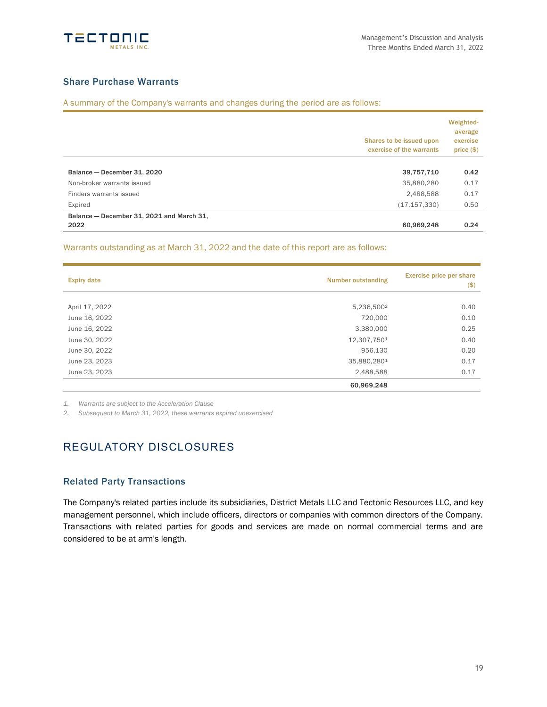

### Share Purchase Warrants

A summary of the Company's warrants and changes during the period are as follows:

| Balance - December 31, 2021 and March 31,<br>2022 | 60.969.248                                           | 0.24                                          |
|---------------------------------------------------|------------------------------------------------------|-----------------------------------------------|
| Expired                                           | (17, 157, 330)                                       | 0.50                                          |
| Finders warrants issued                           | 2,488,588                                            | 0.17                                          |
| Non-broker warrants issued                        | 35,880,280                                           | 0.17                                          |
| Balance - December 31, 2020                       | 39,757,710                                           | 0.42                                          |
|                                                   | Shares to be issued upon<br>exercise of the warrants | Weighted-<br>average<br>exercise<br>price(\$) |

Warrants outstanding as at March 31, 2022 and the date of this report are as follows:

| <b>Expiry date</b> | <b>Number outstanding</b> |      |
|--------------------|---------------------------|------|
| April 17, 2022     | 5,236,500 <sup>2</sup>    | 0.40 |
| June 16, 2022      | 720,000                   | 0.10 |
| June 16, 2022      | 3,380,000                 | 0.25 |
| June 30, 2022      | 12,307,7501               | 0.40 |
| June 30, 2022      | 956,130                   | 0.20 |
| June 23, 2023      | 35,880,2801               | 0.17 |
| June 23, 2023      | 2,488,588                 | 0.17 |
|                    | 60,969,248                |      |

*1. Warrants are subject to the Acceleration Clause*

*2. Subsequent to March 31, 2022, these warrants expired unexercised*

## REGULATORY DISCLOSURES

### Related Party Transactions

The Company's related parties include its subsidiaries, District Metals LLC and Tectonic Resources LLC, and key management personnel, which include officers, directors or companies with common directors of the Company. Transactions with related parties for goods and services are made on normal commercial terms and are considered to be at arm's length.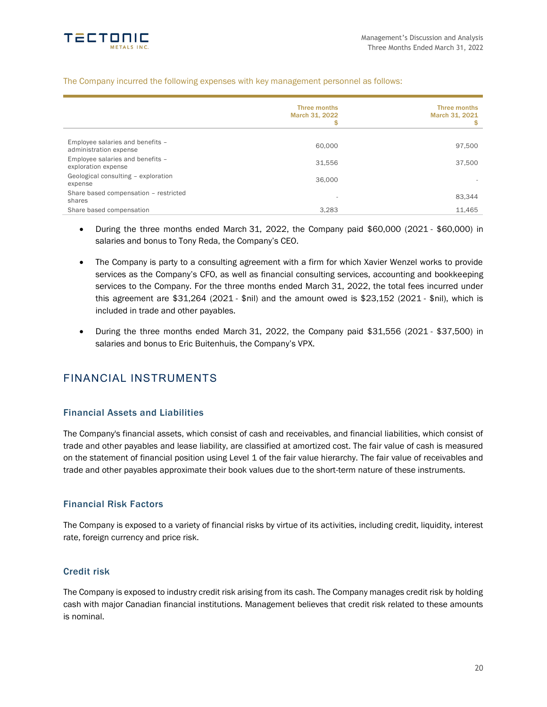

#### The Company incurred the following expenses with key management personnel as follows:

|                                                            | <b>Three months</b><br>March 31, 2022<br>\$ | Three months<br>March 31, 2021<br>S |
|------------------------------------------------------------|---------------------------------------------|-------------------------------------|
| Employee salaries and benefits -<br>administration expense | 60,000                                      | 97,500                              |
| Employee salaries and benefits -<br>exploration expense    | 31.556                                      | 37,500                              |
| Geological consulting - exploration<br>expense             | 36,000                                      |                                     |
| Share based compensation - restricted<br>shares            | $\overline{\phantom{a}}$                    | 83.344                              |
| Share based compensation                                   | 3,283                                       | 11,465                              |

- During the three months ended March 31, 2022, the Company paid \$60,000 (2021 \$60,000) in salaries and bonus to Tony Reda, the Company's CEO.
- The Company is party to a consulting agreement with a firm for which Xavier Wenzel works to provide services as the Company's CFO, as well as financial consulting services, accounting and bookkeeping services to the Company. For the three months ended March 31, 2022, the total fees incurred under this agreement are \$31,264 (2021 - \$nil) and the amount owed is \$23,152 (2021 - \$nil), which is included in trade and other payables.
- During the three months ended March 31, 2022, the Company paid \$31,556 (2021 \$37,500) in salaries and bonus to Eric Buitenhuis, the Company's VPX.

## FINANCIAL INSTRUMENTS

### Financial Assets and Liabilities

The Company's financial assets, which consist of cash and receivables, and financial liabilities, which consist of trade and other payables and lease liability, are classified at amortized cost. The fair value of cash is measured on the statement of financial position using Level 1 of the fair value hierarchy. The fair value of receivables and trade and other payables approximate their book values due to the short-term nature of these instruments.

### Financial Risk Factors

The Company is exposed to a variety of financial risks by virtue of its activities, including credit, liquidity, interest rate, foreign currency and price risk.

### Credit risk

The Company is exposed to industry credit risk arising from its cash. The Company manages credit risk by holding cash with major Canadian financial institutions. Management believes that credit risk related to these amounts is nominal.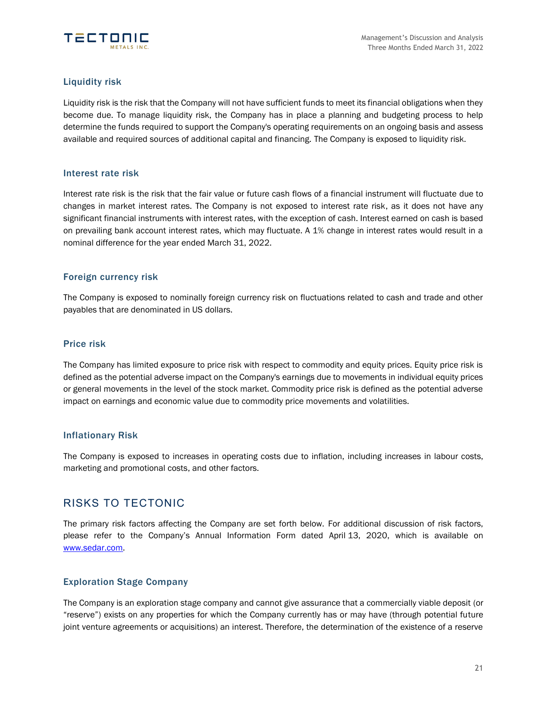

### Liquidity risk

Liquidity risk is the risk that the Company will not have sufficient funds to meet its financial obligations when they become due. To manage liquidity risk, the Company has in place a planning and budgeting process to help determine the funds required to support the Company's operating requirements on an ongoing basis and assess available and required sources of additional capital and financing. The Company is exposed to liquidity risk.

### Interest rate risk

Interest rate risk is the risk that the fair value or future cash flows of a financial instrument will fluctuate due to changes in market interest rates. The Company is not exposed to interest rate risk, as it does not have any significant financial instruments with interest rates, with the exception of cash. Interest earned on cash is based on prevailing bank account interest rates, which may fluctuate. A 1% change in interest rates would result in a nominal difference for the year ended March 31, 2022.

### Foreign currency risk

The Company is exposed to nominally foreign currency risk on fluctuations related to cash and trade and other payables that are denominated in US dollars.

### Price risk

The Company has limited exposure to price risk with respect to commodity and equity prices. Equity price risk is defined as the potential adverse impact on the Company's earnings due to movements in individual equity prices or general movements in the level of the stock market. Commodity price risk is defined as the potential adverse impact on earnings and economic value due to commodity price movements and volatilities.

### Inflationary Risk

The Company is exposed to increases in operating costs due to inflation, including increases in labour costs, marketing and promotional costs, and other factors.

## RISKS TO TECTONIC

The primary risk factors affecting the Company are set forth below. For additional discussion of risk factors, please refer to the Company's Annual Information Form dated April 13, 2020, which is available on [www.sedar.com.](http://www.sedar.com/)

### Exploration Stage Company

The Company is an exploration stage company and cannot give assurance that a commercially viable deposit (or "reserve") exists on any properties for which the Company currently has or may have (through potential future joint venture agreements or acquisitions) an interest. Therefore, the determination of the existence of a reserve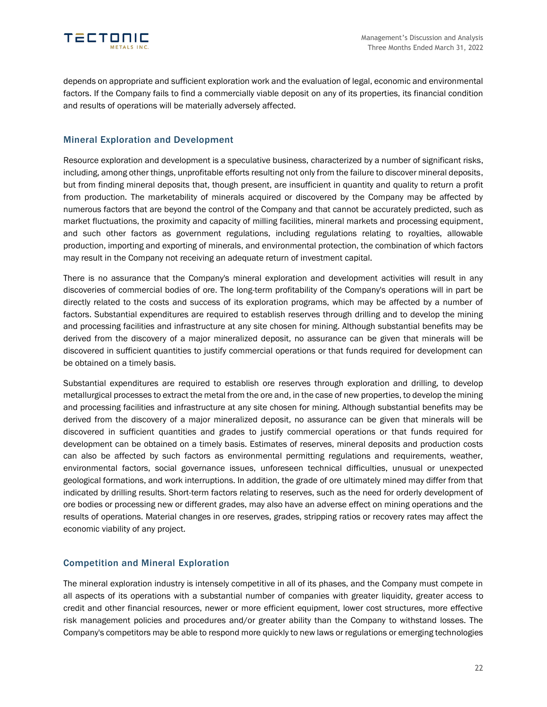

depends on appropriate and sufficient exploration work and the evaluation of legal, economic and environmental factors. If the Company fails to find a commercially viable deposit on any of its properties, its financial condition and results of operations will be materially adversely affected.

### Mineral Exploration and Development

Resource exploration and development is a speculative business, characterized by a number of significant risks, including, among other things, unprofitable efforts resulting not only from the failure to discover mineral deposits, but from finding mineral deposits that, though present, are insufficient in quantity and quality to return a profit from production. The marketability of minerals acquired or discovered by the Company may be affected by numerous factors that are beyond the control of the Company and that cannot be accurately predicted, such as market fluctuations, the proximity and capacity of milling facilities, mineral markets and processing equipment, and such other factors as government regulations, including regulations relating to royalties, allowable production, importing and exporting of minerals, and environmental protection, the combination of which factors may result in the Company not receiving an adequate return of investment capital.

There is no assurance that the Company's mineral exploration and development activities will result in any discoveries of commercial bodies of ore. The long-term profitability of the Company's operations will in part be directly related to the costs and success of its exploration programs, which may be affected by a number of factors. Substantial expenditures are required to establish reserves through drilling and to develop the mining and processing facilities and infrastructure at any site chosen for mining. Although substantial benefits may be derived from the discovery of a major mineralized deposit, no assurance can be given that minerals will be discovered in sufficient quantities to justify commercial operations or that funds required for development can be obtained on a timely basis.

Substantial expenditures are required to establish ore reserves through exploration and drilling, to develop metallurgical processes to extract the metal from the ore and, in the case of new properties, to develop the mining and processing facilities and infrastructure at any site chosen for mining. Although substantial benefits may be derived from the discovery of a major mineralized deposit, no assurance can be given that minerals will be discovered in sufficient quantities and grades to justify commercial operations or that funds required for development can be obtained on a timely basis. Estimates of reserves, mineral deposits and production costs can also be affected by such factors as environmental permitting regulations and requirements, weather, environmental factors, social governance issues, unforeseen technical difficulties, unusual or unexpected geological formations, and work interruptions. In addition, the grade of ore ultimately mined may differ from that indicated by drilling results. Short-term factors relating to reserves, such as the need for orderly development of ore bodies or processing new or different grades, may also have an adverse effect on mining operations and the results of operations. Material changes in ore reserves, grades, stripping ratios or recovery rates may affect the economic viability of any project.

### Competition and Mineral Exploration

The mineral exploration industry is intensely competitive in all of its phases, and the Company must compete in all aspects of its operations with a substantial number of companies with greater liquidity, greater access to credit and other financial resources, newer or more efficient equipment, lower cost structures, more effective risk management policies and procedures and/or greater ability than the Company to withstand losses. The Company's competitors may be able to respond more quickly to new laws or regulations or emerging technologies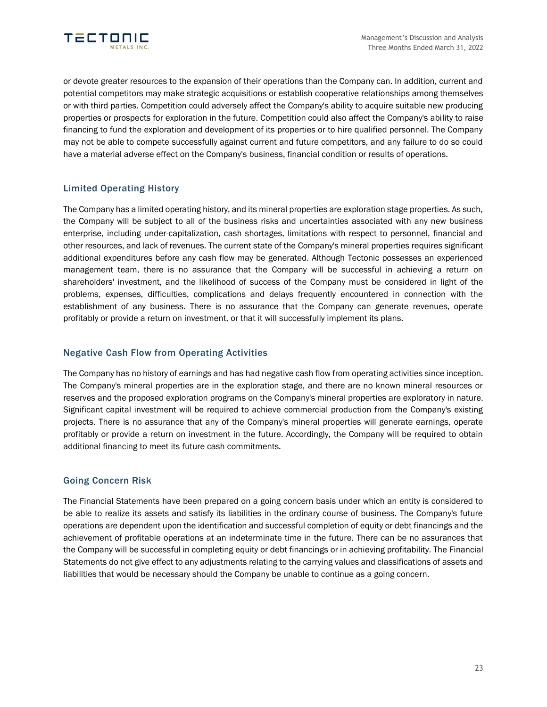

or devote greater resources to the expansion of their operations than the Company can. In addition, current and potential competitors may make strategic acquisitions or establish cooperative relationships among themselves or with third parties. Competition could adversely affect the Company's ability to acquire suitable new producing properties or prospects for exploration in the future. Competition could also affect the Company's ability to raise financing to fund the exploration and development of its properties or to hire qualified personnel. The Company may not be able to compete successfully against current and future competitors, and any failure to do so could have a material adverse effect on the Company's business, financial condition or results of operations.

### Limited Operating History

The Company has a limited operating history, and its mineral properties are exploration stage properties. As such, the Company will be subject to all of the business risks and uncertainties associated with any new business enterprise, including under-capitalization, cash shortages, limitations with respect to personnel, financial and other resources, and lack of revenues. The current state of the Company's mineral properties requires significant additional expenditures before any cash flow may be generated. Although Tectonic possesses an experienced management team, there is no assurance that the Company will be successful in achieving a return on shareholders' investment, and the likelihood of success of the Company must be considered in light of the problems, expenses, difficulties, complications and delays frequently encountered in connection with the establishment of any business. There is no assurance that the Company can generate revenues, operate profitably or provide a return on investment, or that it will successfully implement its plans.

### Negative Cash Flow from Operating Activities

The Company has no history of earnings and has had negative cash flow from operating activities since inception. The Company's mineral properties are in the exploration stage, and there are no known mineral resources or reserves and the proposed exploration programs on the Company's mineral properties are exploratory in nature. Significant capital investment will be required to achieve commercial production from the Company's existing projects. There is no assurance that any of the Company's mineral properties will generate earnings, operate profitably or provide a return on investment in the future. Accordingly, the Company will be required to obtain additional financing to meet its future cash commitments.

### Going Concern Risk

The Financial Statements have been prepared on a going concern basis under which an entity is considered to be able to realize its assets and satisfy its liabilities in the ordinary course of business. The Company's future operations are dependent upon the identification and successful completion of equity or debt financings and the achievement of profitable operations at an indeterminate time in the future. There can be no assurances that the Company will be successful in completing equity or debt financings or in achieving profitability. The Financial Statements do not give effect to any adjustments relating to the carrying values and classifications of assets and liabilities that would be necessary should the Company be unable to continue as a going concern.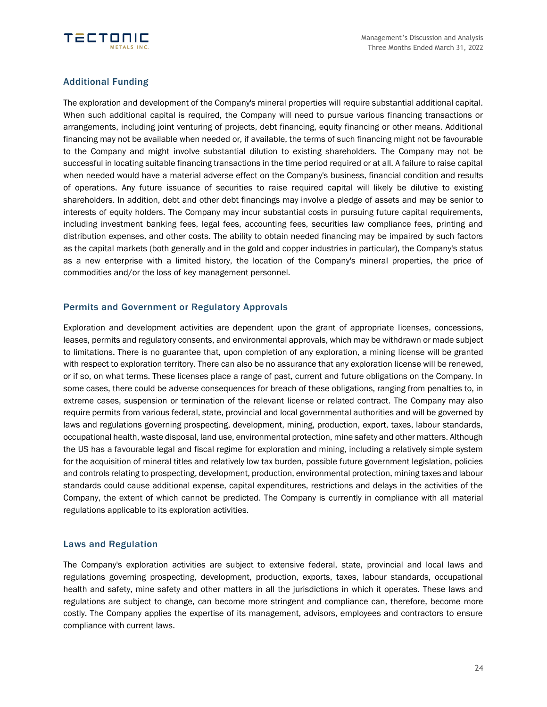

### Additional Funding

The exploration and development of the Company's mineral properties will require substantial additional capital. When such additional capital is required, the Company will need to pursue various financing transactions or arrangements, including joint venturing of projects, debt financing, equity financing or other means. Additional financing may not be available when needed or, if available, the terms of such financing might not be favourable to the Company and might involve substantial dilution to existing shareholders. The Company may not be successful in locating suitable financing transactions in the time period required or at all. A failure to raise capital when needed would have a material adverse effect on the Company's business, financial condition and results of operations. Any future issuance of securities to raise required capital will likely be dilutive to existing shareholders. In addition, debt and other debt financings may involve a pledge of assets and may be senior to interests of equity holders. The Company may incur substantial costs in pursuing future capital requirements, including investment banking fees, legal fees, accounting fees, securities law compliance fees, printing and distribution expenses, and other costs. The ability to obtain needed financing may be impaired by such factors as the capital markets (both generally and in the gold and copper industries in particular), the Company's status as a new enterprise with a limited history, the location of the Company's mineral properties, the price of commodities and/or the loss of key management personnel.

### Permits and Government or Regulatory Approvals

Exploration and development activities are dependent upon the grant of appropriate licenses, concessions, leases, permits and regulatory consents, and environmental approvals, which may be withdrawn or made subject to limitations. There is no guarantee that, upon completion of any exploration, a mining license will be granted with respect to exploration territory. There can also be no assurance that any exploration license will be renewed, or if so, on what terms. These licenses place a range of past, current and future obligations on the Company. In some cases, there could be adverse consequences for breach of these obligations, ranging from penalties to, in extreme cases, suspension or termination of the relevant license or related contract. The Company may also require permits from various federal, state, provincial and local governmental authorities and will be governed by laws and regulations governing prospecting, development, mining, production, export, taxes, labour standards, occupational health, waste disposal, land use, environmental protection, mine safety and other matters. Although the US has a favourable legal and fiscal regime for exploration and mining, including a relatively simple system for the acquisition of mineral titles and relatively low tax burden, possible future government legislation, policies and controls relating to prospecting, development, production, environmental protection, mining taxes and labour standards could cause additional expense, capital expenditures, restrictions and delays in the activities of the Company, the extent of which cannot be predicted. The Company is currently in compliance with all material regulations applicable to its exploration activities.

### Laws and Regulation

The Company's exploration activities are subject to extensive federal, state, provincial and local laws and regulations governing prospecting, development, production, exports, taxes, labour standards, occupational health and safety, mine safety and other matters in all the jurisdictions in which it operates. These laws and regulations are subject to change, can become more stringent and compliance can, therefore, become more costly. The Company applies the expertise of its management, advisors, employees and contractors to ensure compliance with current laws.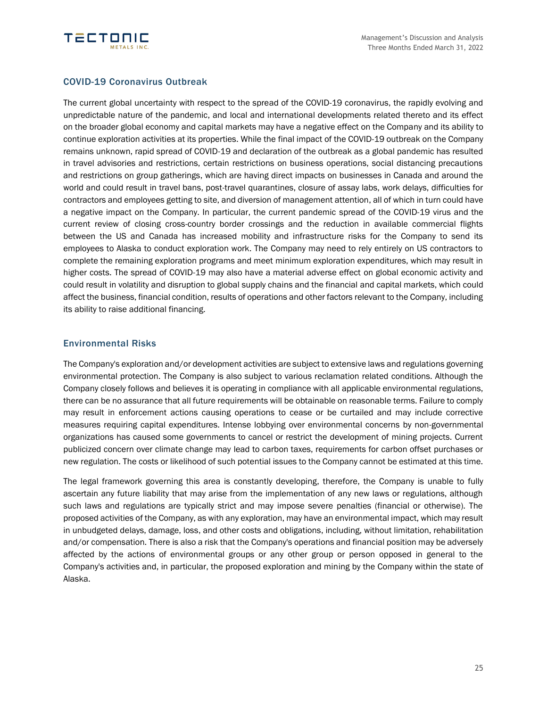

### COVID-19 Coronavirus Outbreak

The current global uncertainty with respect to the spread of the COVID-19 coronavirus, the rapidly evolving and unpredictable nature of the pandemic, and local and international developments related thereto and its effect on the broader global economy and capital markets may have a negative effect on the Company and its ability to continue exploration activities at its properties. While the final impact of the COVID-19 outbreak on the Company remains unknown, rapid spread of COVID-19 and declaration of the outbreak as a global pandemic has resulted in travel advisories and restrictions, certain restrictions on business operations, social distancing precautions and restrictions on group gatherings, which are having direct impacts on businesses in Canada and around the world and could result in travel bans, post-travel quarantines, closure of assay labs, work delays, difficulties for contractors and employees getting to site, and diversion of management attention, all of which in turn could have a negative impact on the Company. In particular, the current pandemic spread of the COVID-19 virus and the current review of closing cross-country border crossings and the reduction in available commercial flights between the US and Canada has increased mobility and infrastructure risks for the Company to send its employees to Alaska to conduct exploration work. The Company may need to rely entirely on US contractors to complete the remaining exploration programs and meet minimum exploration expenditures, which may result in higher costs. The spread of COVID-19 may also have a material adverse effect on global economic activity and could result in volatility and disruption to global supply chains and the financial and capital markets, which could affect the business, financial condition, results of operations and other factors relevant to the Company, including its ability to raise additional financing.

### Environmental Risks

The Company's exploration and/or development activities are subject to extensive laws and regulations governing environmental protection. The Company is also subject to various reclamation related conditions. Although the Company closely follows and believes it is operating in compliance with all applicable environmental regulations, there can be no assurance that all future requirements will be obtainable on reasonable terms. Failure to comply may result in enforcement actions causing operations to cease or be curtailed and may include corrective measures requiring capital expenditures. Intense lobbying over environmental concerns by non-governmental organizations has caused some governments to cancel or restrict the development of mining projects. Current publicized concern over climate change may lead to carbon taxes, requirements for carbon offset purchases or new regulation. The costs or likelihood of such potential issues to the Company cannot be estimated at this time.

The legal framework governing this area is constantly developing, therefore, the Company is unable to fully ascertain any future liability that may arise from the implementation of any new laws or regulations, although such laws and regulations are typically strict and may impose severe penalties (financial or otherwise). The proposed activities of the Company, as with any exploration, may have an environmental impact, which may result in unbudgeted delays, damage, loss, and other costs and obligations, including, without limitation, rehabilitation and/or compensation. There is also a risk that the Company's operations and financial position may be adversely affected by the actions of environmental groups or any other group or person opposed in general to the Company's activities and, in particular, the proposed exploration and mining by the Company within the state of Alaska.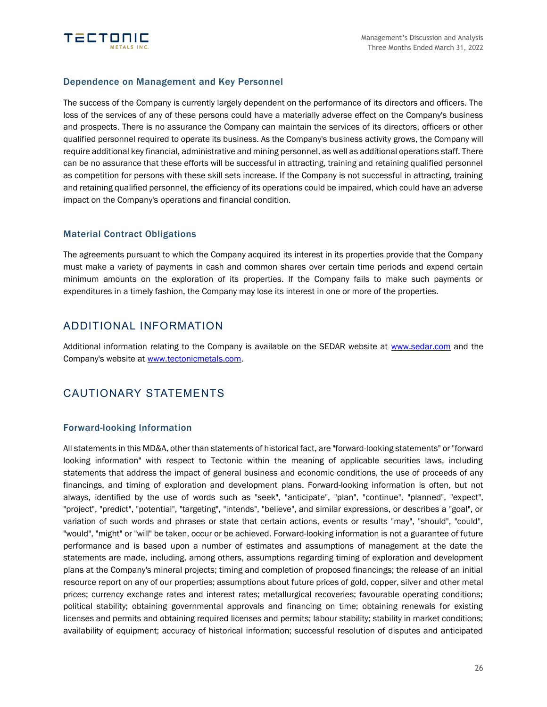

### Dependence on Management and Key Personnel

The success of the Company is currently largely dependent on the performance of its directors and officers. The loss of the services of any of these persons could have a materially adverse effect on the Company's business and prospects. There is no assurance the Company can maintain the services of its directors, officers or other qualified personnel required to operate its business. As the Company's business activity grows, the Company will require additional key financial, administrative and mining personnel, as well as additional operations staff. There can be no assurance that these efforts will be successful in attracting, training and retaining qualified personnel as competition for persons with these skill sets increase. If the Company is not successful in attracting, training and retaining qualified personnel, the efficiency of its operations could be impaired, which could have an adverse impact on the Company's operations and financial condition.

### Material Contract Obligations

The agreements pursuant to which the Company acquired its interest in its properties provide that the Company must make a variety of payments in cash and common shares over certain time periods and expend certain minimum amounts on the exploration of its properties. If the Company fails to make such payments or expenditures in a timely fashion, the Company may lose its interest in one or more of the properties.

### ADDITIONAL INFORMATION

Additional information relating to the Company is available on the SEDAR website at [www.sedar.com](http://www.sedar.com/) and the Company's website at [www.tectonicmetals.com.](http://www.tectonicmetals.com/)

## CAUTIONARY STATEMENTS

### Forward-looking Information

All statements in this MD&A, other than statements of historical fact, are "forward-looking statements" or "forward looking information" with respect to Tectonic within the meaning of applicable securities laws, including statements that address the impact of general business and economic conditions, the use of proceeds of any financings, and timing of exploration and development plans. Forward-looking information is often, but not always, identified by the use of words such as "seek", "anticipate", "plan", "continue", "planned", "expect", "project", "predict", "potential", "targeting", "intends", "believe", and similar expressions, or describes a "goal", or variation of such words and phrases or state that certain actions, events or results "may", "should", "could", "would", "might" or "will" be taken, occur or be achieved. Forward-looking information is not a guarantee of future performance and is based upon a number of estimates and assumptions of management at the date the statements are made, including, among others, assumptions regarding timing of exploration and development plans at the Company's mineral projects; timing and completion of proposed financings; the release of an initial resource report on any of our properties; assumptions about future prices of gold, copper, silver and other metal prices; currency exchange rates and interest rates; metallurgical recoveries; favourable operating conditions; political stability; obtaining governmental approvals and financing on time; obtaining renewals for existing licenses and permits and obtaining required licenses and permits; labour stability; stability in market conditions; availability of equipment; accuracy of historical information; successful resolution of disputes and anticipated